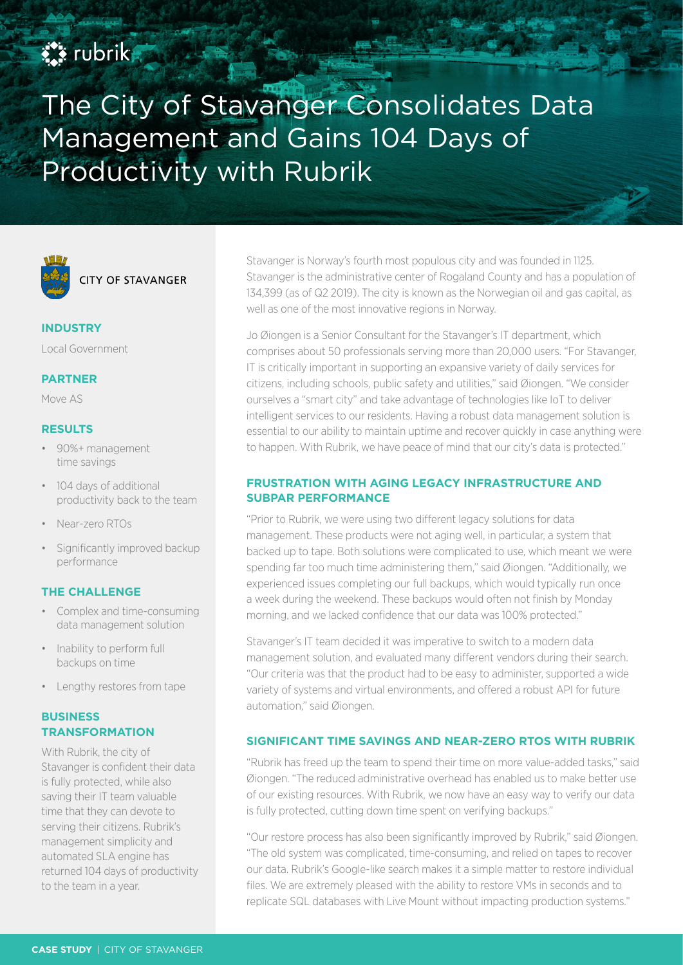# **EX rubrik**

The City of Stavanger Consolidates Data Management and Gains 104 Days of Productivity with Rubrik



**INDUSTRY**

Local Government

#### **PARTNER**

Move AS

## **RESULTS**

- 90%+ management time savings
- 104 days of additional productivity back to the team
- Near-zero RTOs
- Significantly improved backup performance

## **THE CHALLENGE**

- Complex and time-consuming data management solution
- Inability to perform full backups on time
- Lengthy restores from tape

## **BUSINESS TRANSFORMATION**

With Rubrik, the city of Stavanger is confident their data is fully protected, while also saving their IT team valuable time that they can devote to serving their citizens. Rubrik's management simplicity and automated SLA engine has returned 104 days of productivity to the team in a year.

Stavanger is Norway's fourth most populous city and was founded in 1125. Stavanger is the administrative center of Rogaland County and has a population of 134,399 (as of Q2 2019). The city is known as the Norwegian oil and gas capital, as well as one of the most innovative regions in Norway.

Jo Øiongen is a Senior Consultant for the Stavanger's IT department, which comprises about 50 professionals serving more than 20,000 users. "For Stavanger, IT is critically important in supporting an expansive variety of daily services for citizens, including schools, public safety and utilities," said Øiongen. "We consider ourselves a "smart city" and take advantage of technologies like IoT to deliver intelligent services to our residents. Having a robust data management solution is essential to our ability to maintain uptime and recover quickly in case anything were to happen. With Rubrik, we have peace of mind that our city's data is protected."

#### **FRUSTRATION WITH AGING LEGACY INFRASTRUCTURE AND SUBPAR PERFORMANCE**

"Prior to Rubrik, we were using two different legacy solutions for data management. These products were not aging well, in particular, a system that backed up to tape. Both solutions were complicated to use, which meant we were spending far too much time administering them," said Øiongen. "Additionally, we experienced issues completing our full backups, which would typically run once a week during the weekend. These backups would often not finish by Monday morning, and we lacked confidence that our data was 100% protected."

Stavanger's IT team decided it was imperative to switch to a modern data management solution, and evaluated many different vendors during their search. "Our criteria was that the product had to be easy to administer, supported a wide variety of systems and virtual environments, and offered a robust API for future automation," said Øiongen.

## **SIGNIFICANT TIME SAVINGS AND NEAR-ZERO RTOS WITH RUBRIK**

"Rubrik has freed up the team to spend their time on more value-added tasks," said Øiongen. "The reduced administrative overhead has enabled us to make better use of our existing resources. With Rubrik, we now have an easy way to verify our data is fully protected, cutting down time spent on verifying backups."

"Our restore process has also been significantly improved by Rubrik," said Øiongen. "The old system was complicated, time-consuming, and relied on tapes to recover our data. Rubrik's Google-like search makes it a simple matter to restore individual files. We are extremely pleased with the ability to restore VMs in seconds and to replicate SQL databases with Live Mount without impacting production systems."